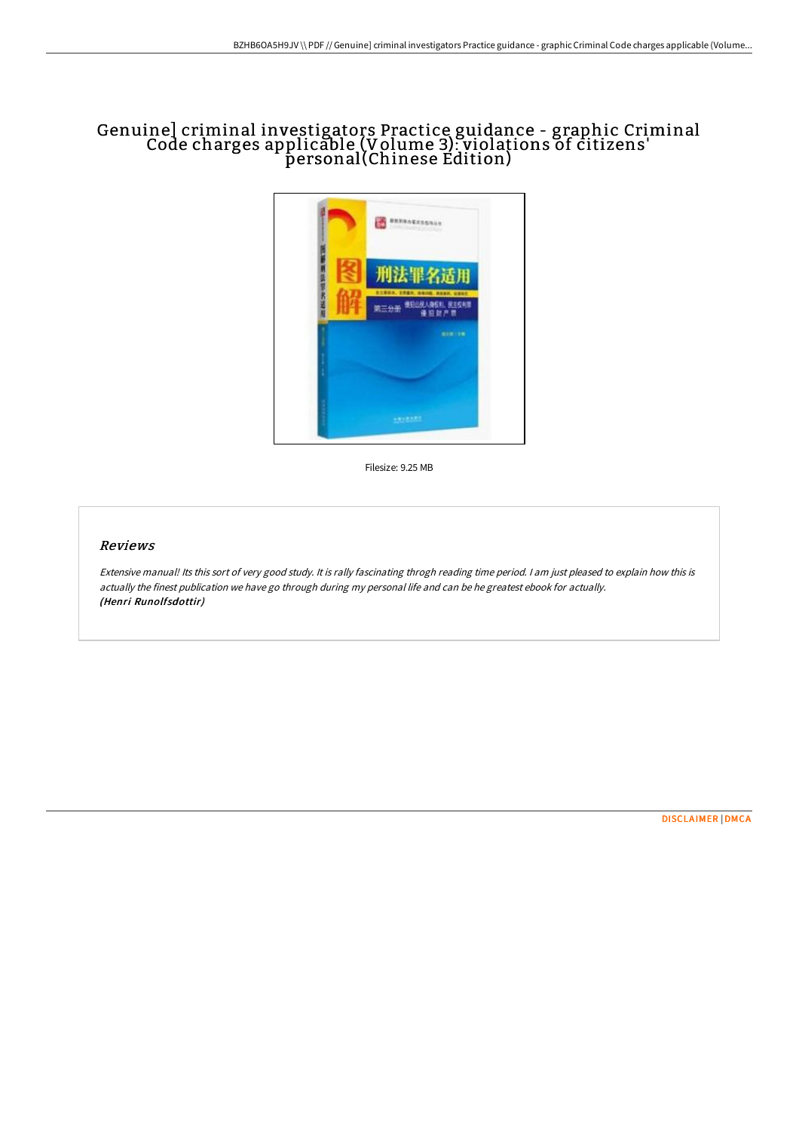# Genuine] criminal investigators Practice guidance - graphic Criminal Code charges applicable (Volume 3): violations of citizens' personal(Chinese Edition)



Filesize: 9.25 MB

#### Reviews

Extensive manual! Its this sort of very good study. It is rally fascinating throgh reading time period. <sup>I</sup> am just pleased to explain how this is actually the finest publication we have go through during my personal life and can be he greatest ebook for actually. (Henri Runolfsdottir)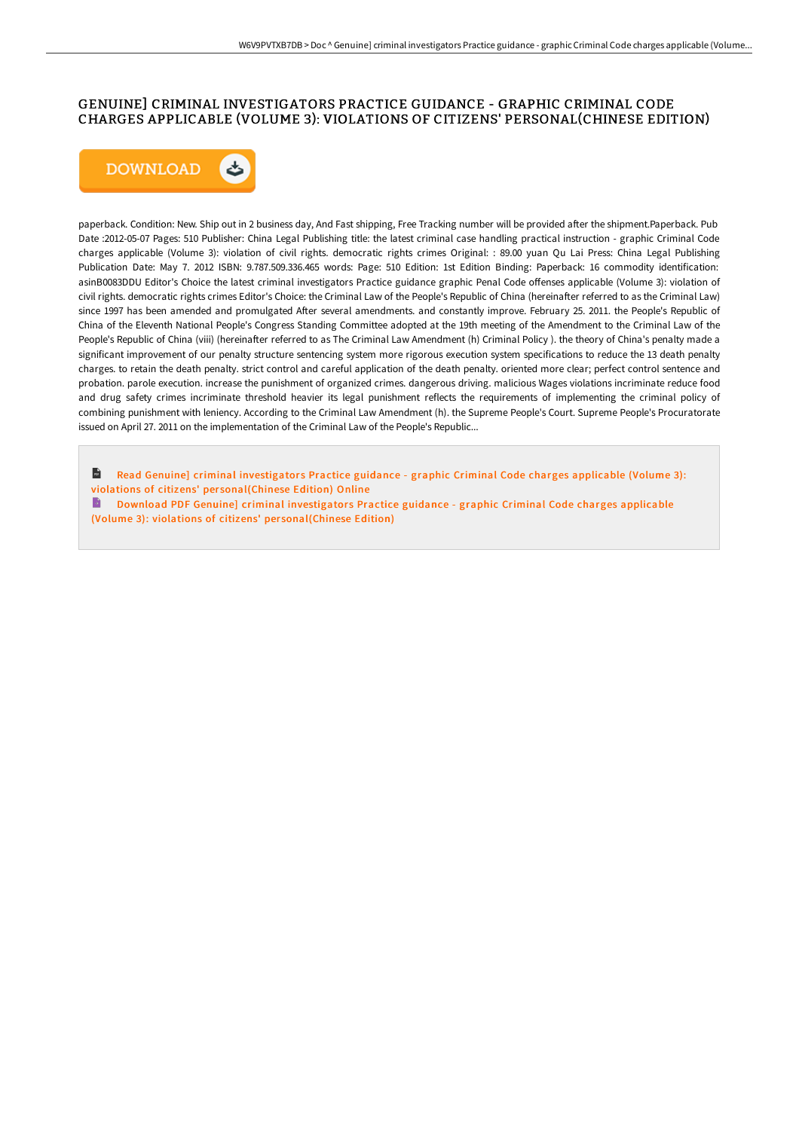## GENUINE] CRIMINAL INVESTIGATORS PRACTICE GUIDANCE - GRAPHIC CRIMINAL CODE CHARGES APPLICABLE (VOLUME 3): VIOLATIONS OF CITIZENS' PERSONAL(CHINESE EDITION)



paperback. Condition: New. Ship out in 2 business day, And Fast shipping, Free Tracking number will be provided after the shipment.Paperback. Pub Date :2012-05-07 Pages: 510 Publisher: China Legal Publishing title: the latest criminal case handling practical instruction - graphic Criminal Code charges applicable (Volume 3): violation of civil rights. democratic rights crimes Original: : 89.00 yuan Qu Lai Press: China Legal Publishing Publication Date: May 7. 2012 ISBN: 9.787.509.336.465 words: Page: 510 Edition: 1st Edition Binding: Paperback: 16 commodity identification: asinB0083DDU Editor's Choice the latest criminal investigators Practice guidance graphic Penal Code offenses applicable (Volume 3): violation of civil rights. democratic rights crimes Editor's Choice: the Criminal Law of the People's Republic of China (hereinafter referred to as the Criminal Law) since 1997 has been amended and promulgated After several amendments. and constantly improve. February 25. 2011. the People's Republic of China of the Eleventh National People's Congress Standing Committee adopted at the 19th meeting of the Amendment to the Criminal Law of the People's Republic of China (viii) (hereinafter referred to as The Criminal Law Amendment (h) Criminal Policy). the theory of China's penalty made a significant improvement of our penalty structure sentencing system more rigorous execution system specifications to reduce the 13 death penalty charges. to retain the death penalty. strict control and careful application of the death penalty. oriented more clear; perfect control sentence and probation. parole execution. increase the punishment of organized crimes. dangerous driving. malicious Wages violations incriminate reduce food and drug safety crimes incriminate threshold heavier its legal punishment reflects the requirements of implementing the criminal policy of combining punishment with leniency. According to the Criminal Law Amendment (h). the Supreme People's Court. Supreme People's Procuratorate issued on April 27. 2011 on the implementation of the Criminal Law of the People's Republic...

 $\mathbf{H}$ Read Genuine] criminal investigators Practice guidance - graphic Criminal Code charges applicable (Volume 3): violations of citizens' per [sonal\(Chinese](http://techno-pub.tech/genuine-criminal-investigators-practice-guidance.html) Edition) Online

B Download PDF Genuine] criminal investigators Practice guidance - graphic Criminal Code charges applicable (Volume 3): violations of citizens' per [sonal\(Chinese](http://techno-pub.tech/genuine-criminal-investigators-practice-guidance.html) Edition)